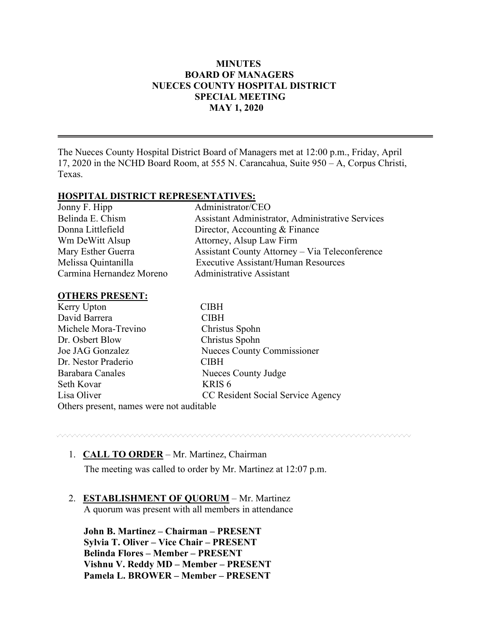## **MINUTES BOARD OF MANAGERS NUECES COUNTY HOSPITAL DISTRICT SPECIAL MEETING MAY 1, 2020**

The Nueces County Hospital District Board of Managers met at 12:00 p.m., Friday, April 17, 2020 in the NCHD Board Room, at 555 N. Carancahua, Suite 950 – A, Corpus Christi, Texas.

## **HOSPITAL DISTRICT REPRESENTATIVES:**

| Jonny F. Hipp            | Administrator/CEO                                     |
|--------------------------|-------------------------------------------------------|
| Belinda E. Chism         | Assistant Administrator, Administrative Services      |
| Donna Littlefield        | Director, Accounting & Finance                        |
| Wm DeWitt Alsup          | Attorney, Alsup Law Firm                              |
| Mary Esther Guerra       | <b>Assistant County Attorney – Via Teleconference</b> |
| Melissa Quintanilla      | <b>Executive Assistant/Human Resources</b>            |
| Carmina Hernandez Moreno | Administrative Assistant                              |

### **OTHERS PRESENT:**

| Kerry Upton                              | <b>CIBH</b>                       |
|------------------------------------------|-----------------------------------|
| David Barrera                            | <b>CIBH</b>                       |
| Michele Mora-Trevino                     | Christus Spohn                    |
| Dr. Osbert Blow                          | Christus Spohn                    |
| Joe JAG Gonzalez                         | Nueces County Commissioner        |
| Dr. Nestor Praderio                      | <b>CIBH</b>                       |
| Barabara Canales                         | Nueces County Judge               |
| Seth Kovar                               | KRIS <sub>6</sub>                 |
| Lisa Oliver                              | CC Resident Social Service Agency |
| Others present, names were not auditable |                                   |

www.www.www.www.www.www.www.www.ww

## 1. **CALL TO ORDER** – Mr. Martinez, Chairman

The meeting was called to order by Mr. Martinez at 12:07 p.m.

## 2. **ESTABLISHMENT OF QUORUM** – Mr. Martinez

A quorum was present with all members in attendance

 **John B. Martinez – Chairman – PRESENT Sylvia T. Oliver – Vice Chair – PRESENT Belinda Flores – Member – PRESENT Vishnu V. Reddy MD – Member – PRESENT Pamela L. BROWER – Member – PRESENT**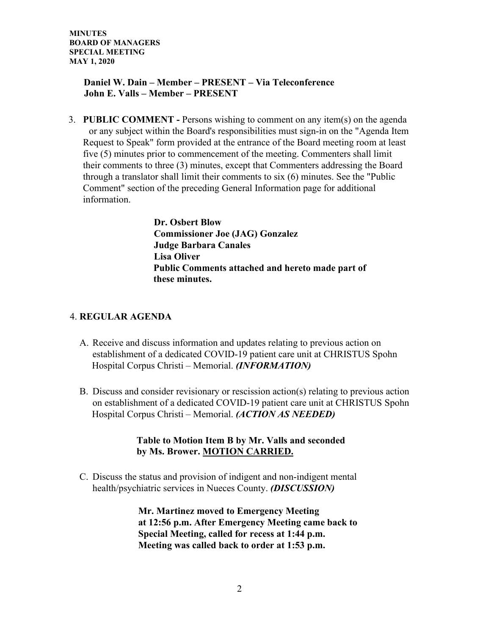## **Daniel W. Dain – Member – PRESENT – Via Teleconference John E. Valls – Member – PRESENT**

3. **PUBLIC COMMENT -** Persons wishing to comment on any item(s) on the agenda or any subject within the Board's responsibilities must sign-in on the "Agenda Item Request to Speak" form provided at the entrance of the Board meeting room at least five (5) minutes prior to commencement of the meeting. Commenters shall limit their comments to three (3) minutes, except that Commenters addressing the Board through a translator shall limit their comments to six (6) minutes. See the "Public Comment" section of the preceding General Information page for additional information.

> **Dr. Osbert Blow Commissioner Joe (JAG) Gonzalez Judge Barbara Canales Lisa Oliver Public Comments attached and hereto made part of these minutes.**

## 4. **REGULAR AGENDA**

- A. Receive and discuss information and updates relating to previous action on establishment of a dedicated COVID-19 patient care unit at CHRISTUS Spohn Hospital Corpus Christi – Memorial. *(INFORMATION)*
- B. Discuss and consider revisionary or rescission action(s) relating to previous action on establishment of a dedicated COVID-19 patient care unit at CHRISTUS Spohn Hospital Corpus Christi – Memorial. *(ACTION AS NEEDED)*

## **Table to Motion Item B by Mr. Valls and seconded by Ms. Brower. MOTION CARRIED.**

C. Discuss the status and provision of indigent and non-indigent mental health/psychiatric services in Nueces County. *(DISCUSSION)* 

> **Mr. Martinez moved to Emergency Meeting at 12:56 p.m. After Emergency Meeting came back to Special Meeting, called for recess at 1:44 p.m. Meeting was called back to order at 1:53 p.m.**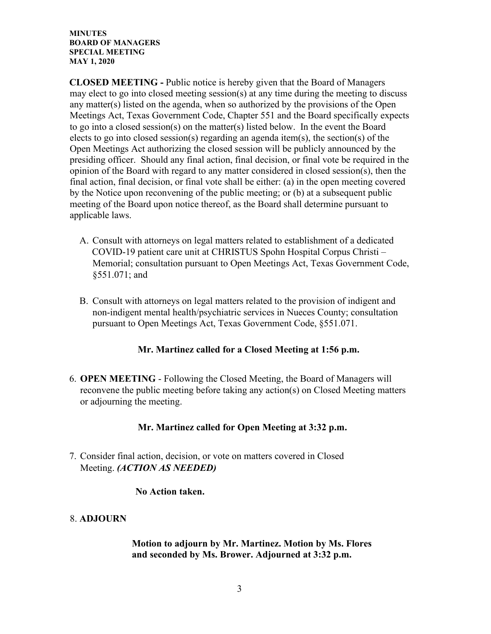**CLOSED MEETING -** Public notice is hereby given that the Board of Managers may elect to go into closed meeting session(s) at any time during the meeting to discuss any matter(s) listed on the agenda, when so authorized by the provisions of the Open Meetings Act, Texas Government Code, Chapter 551 and the Board specifically expects to go into a closed session(s) on the matter(s) listed below. In the event the Board elects to go into closed session(s) regarding an agenda item(s), the section(s) of the Open Meetings Act authorizing the closed session will be publicly announced by the presiding officer. Should any final action, final decision, or final vote be required in the opinion of the Board with regard to any matter considered in closed session(s), then the final action, final decision, or final vote shall be either: (a) in the open meeting covered by the Notice upon reconvening of the public meeting; or (b) at a subsequent public meeting of the Board upon notice thereof, as the Board shall determine pursuant to applicable laws.

- A. Consult with attorneys on legal matters related to establishment of a dedicated COVID-19 patient care unit at CHRISTUS Spohn Hospital Corpus Christi – Memorial; consultation pursuant to Open Meetings Act, Texas Government Code, §551.071; and
- B. Consult with attorneys on legal matters related to the provision of indigent and non-indigent mental health/psychiatric services in Nueces County; consultation pursuant to Open Meetings Act, Texas Government Code, §551.071.

## **Mr. Martinez called for a Closed Meeting at 1:56 p.m.**

6. **OPEN MEETING** - Following the Closed Meeting, the Board of Managers will reconvene the public meeting before taking any action(s) on Closed Meeting matters or adjourning the meeting.

### **Mr. Martinez called for Open Meeting at 3:32 p.m.**

7. Consider final action, decision, or vote on matters covered in Closed Meeting. *(ACTION AS NEEDED)*

### **No Action taken.**

## 8. **ADJOURN**

 **Motion to adjourn by Mr. Martinez. Motion by Ms. Flores and seconded by Ms. Brower. Adjourned at 3:32 p.m.**